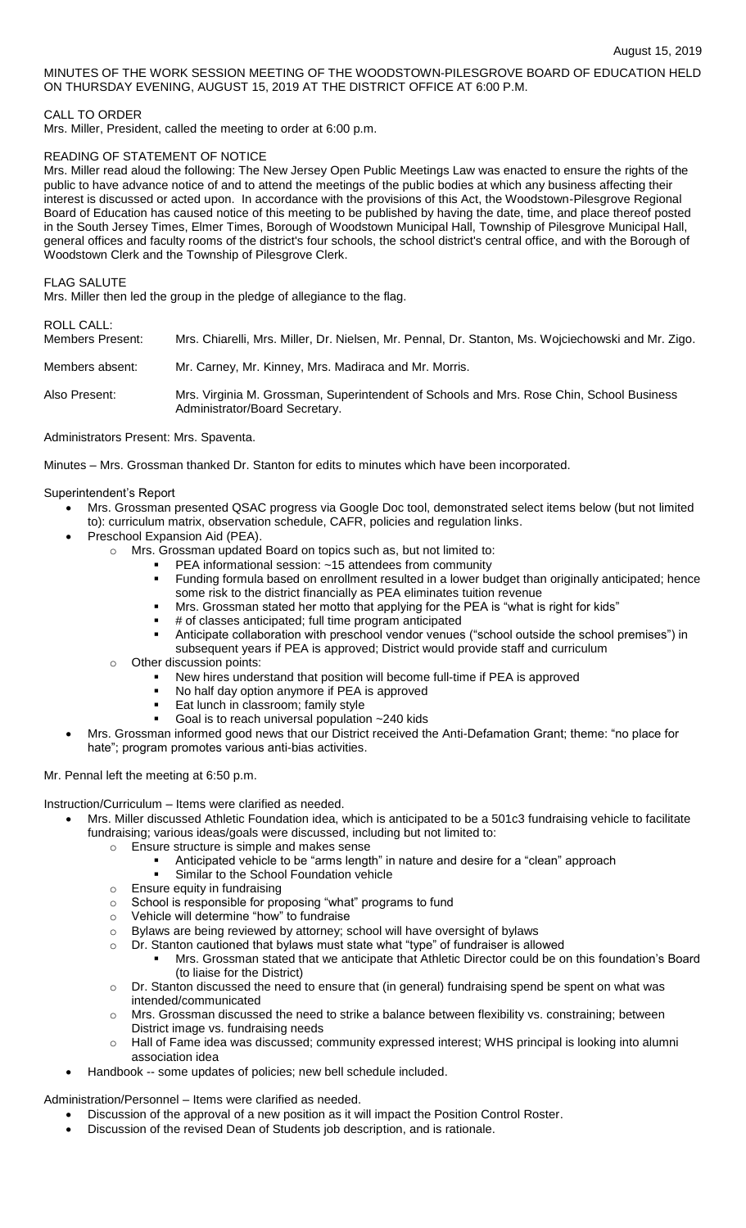MINUTES OF THE WORK SESSION MEETING OF THE WOODSTOWN-PILESGROVE BOARD OF EDUCATION HELD ON THURSDAY EVENING, AUGUST 15, 2019 AT THE DISTRICT OFFICE AT 6:00 P.M.

# CALL TO ORDER

Mrs. Miller, President, called the meeting to order at 6:00 p.m.

## READING OF STATEMENT OF NOTICE

Mrs. Miller read aloud the following: The New Jersey Open Public Meetings Law was enacted to ensure the rights of the public to have advance notice of and to attend the meetings of the public bodies at which any business affecting their interest is discussed or acted upon. In accordance with the provisions of this Act, the Woodstown-Pilesgrove Regional Board of Education has caused notice of this meeting to be published by having the date, time, and place thereof posted in the South Jersey Times, Elmer Times, Borough of Woodstown Municipal Hall, Township of Pilesgrove Municipal Hall, general offices and faculty rooms of the district's four schools, the school district's central office, and with the Borough of Woodstown Clerk and the Township of Pilesgrove Clerk.

#### FLAG SALUTE

Mrs. Miller then led the group in the pledge of allegiance to the flag.

# ROLL CALL:

| IVULL UNLL.<br>Members Present: | Mrs. Chiarelli, Mrs. Miller, Dr. Nielsen, Mr. Pennal, Dr. Stanton, Ms. Wojciechowski and Mr. Zigo.                         |
|---------------------------------|----------------------------------------------------------------------------------------------------------------------------|
| Members absent:                 | Mr. Carney, Mr. Kinney, Mrs. Madiraca and Mr. Morris.                                                                      |
| Also Present:                   | Mrs. Virginia M. Grossman, Superintendent of Schools and Mrs. Rose Chin, School Business<br>Administrator/Board Secretary. |

# Administrators Present: Mrs. Spaventa.

Minutes – Mrs. Grossman thanked Dr. Stanton for edits to minutes which have been incorporated.

#### Superintendent's Report

- Mrs. Grossman presented QSAC progress via Google Doc tool, demonstrated select items below (but not limited to): curriculum matrix, observation schedule, CAFR, policies and regulation links.
	- Preschool Expansion Aid (PEA).
		- o Mrs. Grossman updated Board on topics such as, but not limited to:
			- PEA informational session: ~15 attendees from community
			- Funding formula based on enrollment resulted in a lower budget than originally anticipated; hence some risk to the district financially as PEA eliminates tuition revenue
			- Mrs. Grossman stated her motto that applying for the PEA is "what is right for kids"
			- # of classes anticipated; full time program anticipated
			- Anticipate collaboration with preschool vendor venues ("school outside the school premises") in
			- subsequent years if PEA is approved; District would provide staff and curriculum
		- Other discussion points:
			- New hires understand that position will become full-time if PEA is approved
			- No half day option anymore if PEA is approved
			- Eat lunch in classroom; family style
			- Goal is to reach universal population ~240 kids
- Mrs. Grossman informed good news that our District received the Anti-Defamation Grant; theme: "no place for hate"; program promotes various anti-bias activities.

#### Mr. Pennal left the meeting at 6:50 p.m.

Instruction/Curriculum – Items were clarified as needed.

- Mrs. Miller discussed Athletic Foundation idea, which is anticipated to be a 501c3 fundraising vehicle to facilitate fundraising; various ideas/goals were discussed, including but not limited to:
	- o Ensure structure is simple and makes sense
		- Anticipated vehicle to be "arms length" in nature and desire for a "clean" approach
		- Similar to the School Foundation vehicle
	- o Ensure equity in fundraising
	- o School is responsible for proposing "what" programs to fund
	- o Vehicle will determine "how" to fundraise
	- o Bylaws are being reviewed by attorney; school will have oversight of bylaws
	- $\circ$  Dr. Stanton cautioned that bylaws must state what "type" of fundraiser is allowed
		- Mrs. Grossman stated that we anticipate that Athletic Director could be on this foundation's Board (to liaise for the District)
	- $\circ$  Dr. Stanton discussed the need to ensure that (in general) fundraising spend be spent on what was intended/communicated
	- $\circ$  Mrs. Grossman discussed the need to strike a balance between flexibility vs. constraining; between District image vs. fundraising needs
	- Hall of Fame idea was discussed; community expressed interest; WHS principal is looking into alumni association idea
- Handbook -- some updates of policies; new bell schedule included.

Administration/Personnel – Items were clarified as needed.

- Discussion of the approval of a new position as it will impact the Position Control Roster.
- Discussion of the revised Dean of Students job description, and is rationale.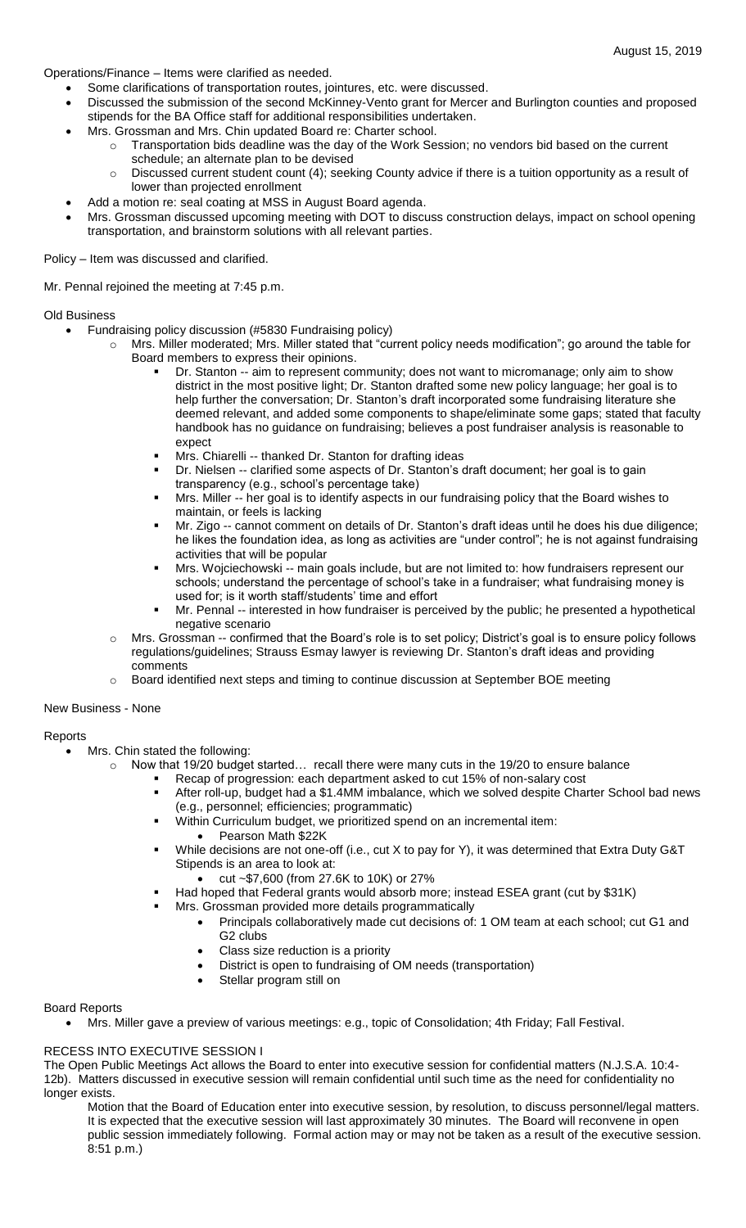Operations/Finance – Items were clarified as needed.

- Some clarifications of transportation routes, jointures, etc. were discussed.
- Discussed the submission of the second McKinney-Vento grant for Mercer and Burlington counties and proposed stipends for the BA Office staff for additional responsibilities undertaken.
	- Mrs. Grossman and Mrs. Chin updated Board re: Charter school.
		- Transportation bids deadline was the day of the Work Session; no vendors bid based on the current schedule; an alternate plan to be devised
		- o Discussed current student count (4); seeking County advice if there is a tuition opportunity as a result of lower than projected enrollment
- Add a motion re: seal coating at MSS in August Board agenda.
- Mrs. Grossman discussed upcoming meeting with DOT to discuss construction delays, impact on school opening transportation, and brainstorm solutions with all relevant parties.

Policy – Item was discussed and clarified.

Mr. Pennal rejoined the meeting at 7:45 p.m.

#### Old Business

- Fundraising policy discussion (#5830 Fundraising policy)
	- o Mrs. Miller moderated; Mrs. Miller stated that "current policy needs modification"; go around the table for Board members to express their opinions.
		- Dr. Stanton -- aim to represent community; does not want to micromanage; only aim to show district in the most positive light; Dr. Stanton drafted some new policy language; her goal is to help further the conversation; Dr. Stanton's draft incorporated some fundraising literature she deemed relevant, and added some components to shape/eliminate some gaps; stated that faculty handbook has no guidance on fundraising; believes a post fundraiser analysis is reasonable to expect
		- Mrs. Chiarelli -- thanked Dr. Stanton for drafting ideas
		- Dr. Nielsen -- clarified some aspects of Dr. Stanton's draft document; her goal is to gain transparency (e.g., school's percentage take)
		- Mrs. Miller -- her goal is to identify aspects in our fundraising policy that the Board wishes to maintain, or feels is lacking
		- Mr. Zigo -- cannot comment on details of Dr. Stanton's draft ideas until he does his due diligence; he likes the foundation idea, as long as activities are "under control"; he is not against fundraising activities that will be popular
		- Mrs. Wojciechowski -- main goals include, but are not limited to: how fundraisers represent our schools; understand the percentage of school's take in a fundraiser; what fundraising money is used for; is it worth staff/students' time and effort
		- Mr. Pennal -- interested in how fundraiser is perceived by the public; he presented a hypothetical negative scenario
	- o Mrs. Grossman -- confirmed that the Board's role is to set policy; District's goal is to ensure policy follows regulations/guidelines; Strauss Esmay lawyer is reviewing Dr. Stanton's draft ideas and providing comments
	- o Board identified next steps and timing to continue discussion at September BOE meeting

#### New Business - None

# Reports

- Mrs. Chin stated the following:
	- $\circ$  Now that 19/20 budget started... recall there were many cuts in the 19/20 to ensure balance
		- Recap of progression: each department asked to cut 15% of non-salary cost
		- After roll-up, budget had a \$1.4MM imbalance, which we solved despite Charter School bad news (e.g., personnel; efficiencies; programmatic)
		- Within Curriculum budget, we prioritized spend on an incremental item:
			- Pearson Math \$22K
		- While decisions are not one-off (i.e., cut X to pay for Y), it was determined that Extra Duty G&T Stipends is an area to look at:
			- cut ~\$7,600 (from 27.6K to 10K) or 27%
		- Had hoped that Federal grants would absorb more; instead ESEA grant (cut by \$31K)
			- Mrs. Grossman provided more details programmatically
				- Principals collaboratively made cut decisions of: 1 OM team at each school; cut G1 and G2 clubs
				- Class size reduction is a priority
				- District is open to fundraising of OM needs (transportation)
				- Stellar program still on

## Board Reports

Mrs. Miller gave a preview of various meetings: e.g., topic of Consolidation; 4th Friday; Fall Festival.

## RECESS INTO EXECUTIVE SESSION I

The Open Public Meetings Act allows the Board to enter into executive session for confidential matters (N.J.S.A. 10:4- 12b). Matters discussed in executive session will remain confidential until such time as the need for confidentiality no longer exists.

Motion that the Board of Education enter into executive session, by resolution, to discuss personnel/legal matters. It is expected that the executive session will last approximately 30 minutes. The Board will reconvene in open public session immediately following. Formal action may or may not be taken as a result of the executive session. 8:51 p.m.)